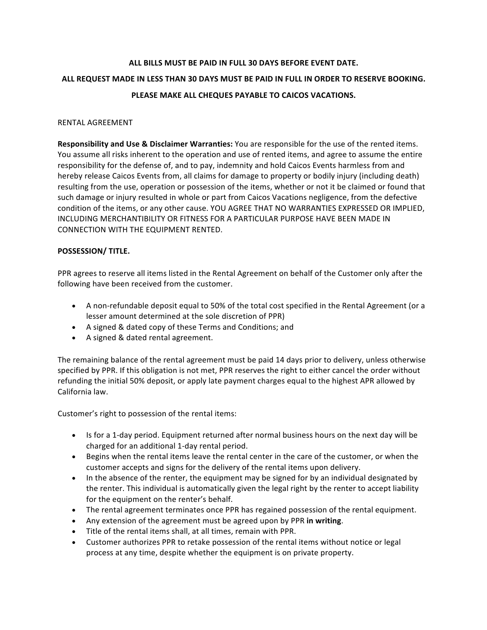# **ALL BILLS MUST BE PAID IN FULL 30 DAYS BEFORE EVENT DATE.** ALL REQUEST MADE IN LESS THAN 30 DAYS MUST BE PAID IN FULL IN ORDER TO RESERVE BOOKING. **PLEASE MAKE ALL CHEQUES PAYABLE TO CAICOS VACATIONS.**

### RENTAL AGREEMENT

**Responsibility and Use & Disclaimer Warranties:** You are responsible for the use of the rented items. You assume all risks inherent to the operation and use of rented items, and agree to assume the entire responsibility for the defense of, and to pay, indemnity and hold Caicos Events harmless from and hereby release Caicos Events from, all claims for damage to property or bodily injury (including death) resulting from the use, operation or possession of the items, whether or not it be claimed or found that such damage or injury resulted in whole or part from Caicos Vacations negligence, from the defective condition of the items, or any other cause. YOU AGREE THAT NO WARRANTIES EXPRESSED OR IMPLIED, INCLUDING MERCHANTIBILITY OR FITNESS FOR A PARTICULAR PURPOSE HAVE BEEN MADE IN CONNECTION WITH THE EQUIPMENT RENTED.

## **POSSESSION/ TITLE.**

PPR agrees to reserve all items listed in the Rental Agreement on behalf of the Customer only after the following have been received from the customer.

- A non-refundable deposit equal to 50% of the total cost specified in the Rental Agreement (or a lesser amount determined at the sole discretion of PPR)
- A signed & dated copy of these Terms and Conditions; and
- A signed & dated rental agreement.

The remaining balance of the rental agreement must be paid 14 days prior to delivery, unless otherwise specified by PPR. If this obligation is not met, PPR reserves the right to either cancel the order without refunding the initial 50% deposit, or apply late payment charges equal to the highest APR allowed by California law.

Customer's right to possession of the rental items:

- Is for a 1-day period. Equipment returned after normal business hours on the next day will be charged for an additional 1-day rental period.
- Begins when the rental items leave the rental center in the care of the customer, or when the customer accepts and signs for the delivery of the rental items upon delivery.
- In the absence of the renter, the equipment may be signed for by an individual designated by the renter. This individual is automatically given the legal right by the renter to accept liability for the equipment on the renter's behalf.
- The rental agreement terminates once PPR has regained possession of the rental equipment.
- Any extension of the agreement must be agreed upon by PPR in writing.
- Title of the rental items shall, at all times, remain with PPR.
- Customer authorizes PPR to retake possession of the rental items without notice or legal process at any time, despite whether the equipment is on private property.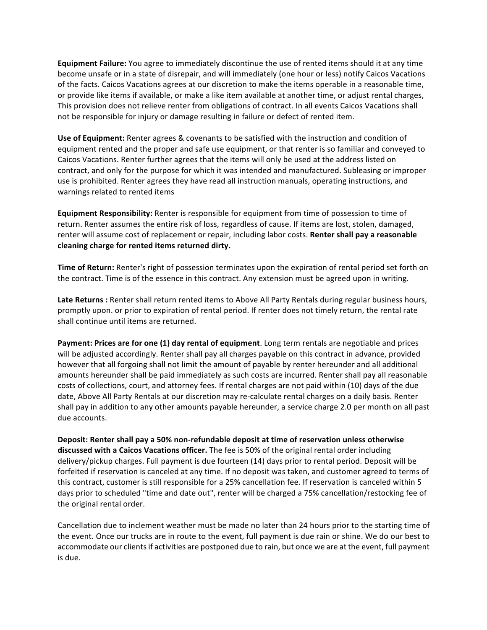**Equipment Failure:** You agree to immediately discontinue the use of rented items should it at any time become unsafe or in a state of disrepair, and will immediately (one hour or less) notify Caicos Vacations of the facts. Caicos Vacations agrees at our discretion to make the items operable in a reasonable time, or provide like items if available, or make a like item available at another time, or adjust rental charges, This provision does not relieve renter from obligations of contract. In all events Caicos Vacations shall not be responsible for injury or damage resulting in failure or defect of rented item.

**Use of Equipment:** Renter agrees & covenants to be satisfied with the instruction and condition of equipment rented and the proper and safe use equipment, or that renter is so familiar and conveyed to Caicos Vacations. Renter further agrees that the items will only be used at the address listed on contract, and only for the purpose for which it was intended and manufactured. Subleasing or improper use is prohibited. Renter agrees they have read all instruction manuals, operating instructions, and warnings related to rented items

**Equipment Responsibility:** Renter is responsible for equipment from time of possession to time of return. Renter assumes the entire risk of loss, regardless of cause. If items are lost, stolen, damaged, renter will assume cost of replacement or repair, including labor costs. **Renter shall pay a reasonable** cleaning charge for rented items returned dirty.

**Time of Return:** Renter's right of possession terminates upon the expiration of rental period set forth on the contract. Time is of the essence in this contract. Any extension must be agreed upon in writing.

Late Returns : Renter shall return rented items to Above All Party Rentals during regular business hours, promptly upon. or prior to expiration of rental period. If renter does not timely return, the rental rate shall continue until items are returned.

**Payment: Prices are for one (1) day rental of equipment.** Long term rentals are negotiable and prices will be adjusted accordingly. Renter shall pay all charges payable on this contract in advance, provided however that all forgoing shall not limit the amount of payable by renter hereunder and all additional amounts hereunder shall be paid immediately as such costs are incurred. Renter shall pay all reasonable costs of collections, court, and attorney fees. If rental charges are not paid within (10) days of the due date, Above All Party Rentals at our discretion may re-calculate rental charges on a daily basis. Renter shall pay in addition to any other amounts payable hereunder, a service charge 2.0 per month on all past due accounts.

Deposit: Renter shall pay a 50% non-refundable deposit at time of reservation unless otherwise **discussed with a Caicos Vacations officer.** The fee is 50% of the original rental order including delivery/pickup charges. Full payment is due fourteen (14) days prior to rental period. Deposit will be forfeited if reservation is canceled at any time. If no deposit was taken, and customer agreed to terms of this contract, customer is still responsible for a 25% cancellation fee. If reservation is canceled within 5 days prior to scheduled "time and date out", renter will be charged a 75% cancellation/restocking fee of the original rental order.

Cancellation due to inclement weather must be made no later than 24 hours prior to the starting time of the event. Once our trucks are in route to the event, full payment is due rain or shine. We do our best to accommodate our clients if activities are postponed due to rain, but once we are at the event, full payment is due.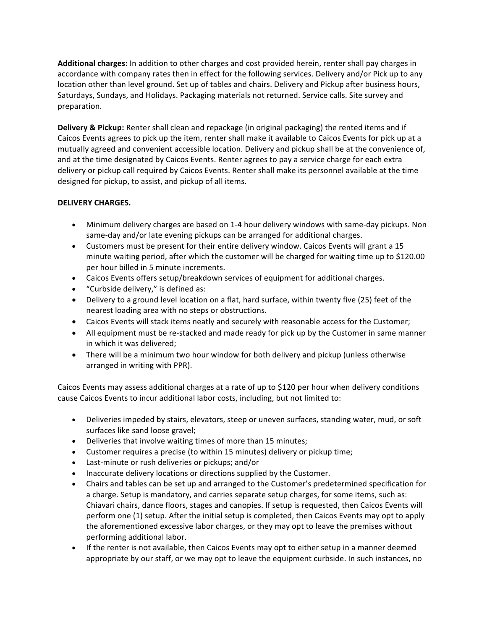Additional charges: In addition to other charges and cost provided herein, renter shall pay charges in accordance with company rates then in effect for the following services. Delivery and/or Pick up to any location other than level ground. Set up of tables and chairs. Delivery and Pickup after business hours, Saturdays, Sundays, and Holidays. Packaging materials not returned. Service calls. Site survey and preparation. 

**Delivery & Pickup:** Renter shall clean and repackage (in original packaging) the rented items and if Caicos Events agrees to pick up the item, renter shall make it available to Caicos Events for pick up at a mutually agreed and convenient accessible location. Delivery and pickup shall be at the convenience of, and at the time designated by Caicos Events. Renter agrees to pay a service charge for each extra delivery or pickup call required by Caicos Events. Renter shall make its personnel available at the time designed for pickup, to assist, and pickup of all items.

## **DELIVERY CHARGES.**

- Minimum delivery charges are based on 1-4 hour delivery windows with same-day pickups. Non same-day and/or late evening pickups can be arranged for additional charges.
- Customers must be present for their entire delivery window. Caicos Events will grant a 15 minute waiting period, after which the customer will be charged for waiting time up to \$120.00 per hour billed in 5 minute increments.
- Caicos Events offers setup/breakdown services of equipment for additional charges.
- "Curbside delivery," is defined as:
- Delivery to a ground level location on a flat, hard surface, within twenty five (25) feet of the nearest loading area with no steps or obstructions.
- Caicos Events will stack items neatly and securely with reasonable access for the Customer;
- All equipment must be re-stacked and made ready for pick up by the Customer in same manner in which it was delivered;
- There will be a minimum two hour window for both delivery and pickup (unless otherwise arranged in writing with PPR).

Caicos Events may assess additional charges at a rate of up to \$120 per hour when delivery conditions cause Caicos Events to incur additional labor costs, including, but not limited to:

- Deliveries impeded by stairs, elevators, steep or uneven surfaces, standing water, mud, or soft surfaces like sand loose gravel;
- Deliveries that involve waiting times of more than 15 minutes;
- Customer requires a precise (to within 15 minutes) delivery or pickup time;
- Last-minute or rush deliveries or pickups; and/or
- Inaccurate delivery locations or directions supplied by the Customer.
- Chairs and tables can be set up and arranged to the Customer's predetermined specification for a charge. Setup is mandatory, and carries separate setup charges, for some items, such as: Chiavari chairs, dance floors, stages and canopies. If setup is requested, then Caicos Events will perform one (1) setup. After the initial setup is completed, then Caicos Events may opt to apply the aforementioned excessive labor charges, or they may opt to leave the premises without performing additional labor.
- If the renter is not available, then Caicos Events may opt to either setup in a manner deemed appropriate by our staff, or we may opt to leave the equipment curbside. In such instances, no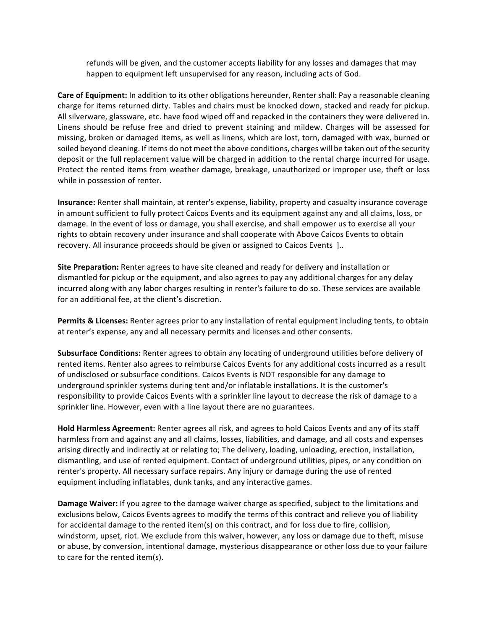refunds will be given, and the customer accepts liability for any losses and damages that may happen to equipment left unsupervised for any reason, including acts of God.

**Care of Equipment:** In addition to its other obligations hereunder, Renter shall: Pay a reasonable cleaning charge for items returned dirty. Tables and chairs must be knocked down, stacked and ready for pickup. All silverware, glassware, etc. have food wiped off and repacked in the containers they were delivered in. Linens should be refuse free and dried to prevent staining and mildew. Charges will be assessed for missing, broken or damaged items, as well as linens, which are lost, torn, damaged with wax, burned or soiled beyond cleaning. If items do not meet the above conditions, charges will be taken out of the security deposit or the full replacement value will be charged in addition to the rental charge incurred for usage. Protect the rented items from weather damage, breakage, unauthorized or improper use, theft or loss while in possession of renter.

**Insurance:** Renter shall maintain, at renter's expense, liability, property and casualty insurance coverage in amount sufficient to fully protect Caicos Events and its equipment against any and all claims, loss, or damage. In the event of loss or damage, you shall exercise, and shall empower us to exercise all your rights to obtain recovery under insurance and shall cooperate with Above Caicos Events to obtain recovery. All insurance proceeds should be given or assigned to Caicos Events ]..

**Site Preparation:** Renter agrees to have site cleaned and ready for delivery and installation or dismantled for pickup or the equipment, and also agrees to pay any additional charges for any delay incurred along with any labor charges resulting in renter's failure to do so. These services are available for an additional fee, at the client's discretion.

**Permits & Licenses:** Renter agrees prior to any installation of rental equipment including tents, to obtain at renter's expense, any and all necessary permits and licenses and other consents.

**Subsurface Conditions:** Renter agrees to obtain any locating of underground utilities before delivery of rented items. Renter also agrees to reimburse Caicos Events for any additional costs incurred as a result of undisclosed or subsurface conditions. Caicos Events is NOT responsible for any damage to underground sprinkler systems during tent and/or inflatable installations. It is the customer's responsibility to provide Caicos Events with a sprinkler line layout to decrease the risk of damage to a sprinkler line. However, even with a line layout there are no guarantees.

Hold Harmless Agreement: Renter agrees all risk, and agrees to hold Caicos Events and any of its staff harmless from and against any and all claims, losses, liabilities, and damage, and all costs and expenses arising directly and indirectly at or relating to; The delivery, loading, unloading, erection, installation, dismantling, and use of rented equipment. Contact of underground utilities, pipes, or any condition on renter's property. All necessary surface repairs. Any injury or damage during the use of rented equipment including inflatables, dunk tanks, and any interactive games.

**Damage Waiver:** If you agree to the damage waiver charge as specified, subject to the limitations and exclusions below, Caicos Events agrees to modify the terms of this contract and relieve you of liability for accidental damage to the rented item(s) on this contract, and for loss due to fire, collision, windstorm, upset, riot. We exclude from this waiver, however, any loss or damage due to theft, misuse or abuse, by conversion, intentional damage, mysterious disappearance or other loss due to your failure to care for the rented item(s).